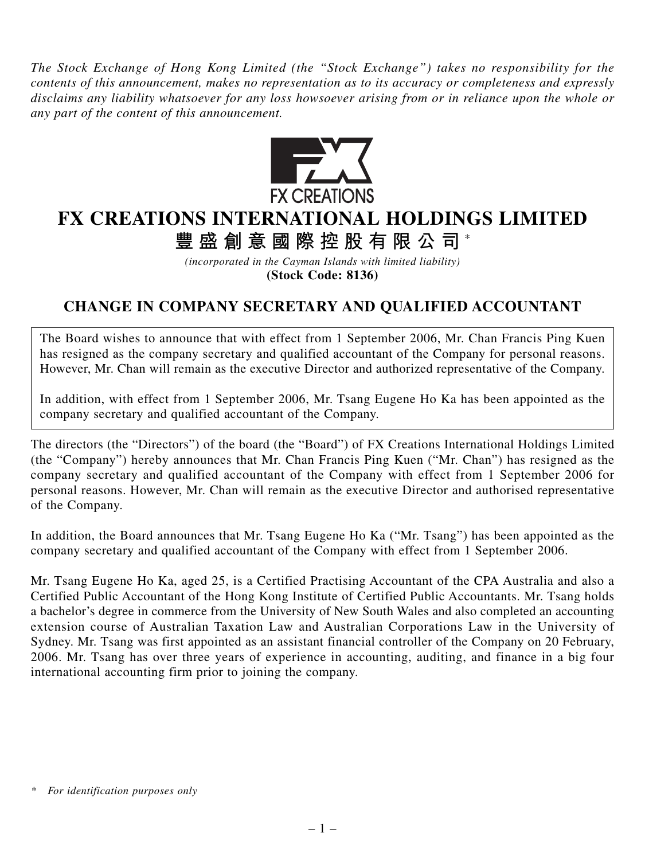*The Stock Exchange of Hong Kong Limited (the "Stock Exchange") takes no responsibility for the contents of this announcement, makes no representation as to its accuracy or completeness and expressly disclaims any liability whatsoever for any loss howsoever arising from or in reliance upon the whole or any part of the content of this announcement.*



## **FX CREATIONS INTERNATIONAL HOLDINGS LIMITED**

**豐盛創意國際控股有限公司** \*

*(incorporated in the Cayman Islands with limited liability)* **(Stock Code: 8136)**

## **CHANGE IN COMPANY SECRETARY AND QUALIFIED ACCOUNTANT**

The Board wishes to announce that with effect from 1 September 2006, Mr. Chan Francis Ping Kuen has resigned as the company secretary and qualified accountant of the Company for personal reasons. However, Mr. Chan will remain as the executive Director and authorized representative of the Company.

In addition, with effect from 1 September 2006, Mr. Tsang Eugene Ho Ka has been appointed as the company secretary and qualified accountant of the Company.

The directors (the "Directors") of the board (the "Board") of FX Creations International Holdings Limited (the "Company") hereby announces that Mr. Chan Francis Ping Kuen ("Mr. Chan") has resigned as the company secretary and qualified accountant of the Company with effect from 1 September 2006 for personal reasons. However, Mr. Chan will remain as the executive Director and authorised representative of the Company.

In addition, the Board announces that Mr. Tsang Eugene Ho Ka ("Mr. Tsang") has been appointed as the company secretary and qualified accountant of the Company with effect from 1 September 2006.

Mr. Tsang Eugene Ho Ka, aged 25, is a Certified Practising Accountant of the CPA Australia and also a Certified Public Accountant of the Hong Kong Institute of Certified Public Accountants. Mr. Tsang holds a bachelor's degree in commerce from the University of New South Wales and also completed an accounting extension course of Australian Taxation Law and Australian Corporations Law in the University of Sydney. Mr. Tsang was first appointed as an assistant financial controller of the Company on 20 February, 2006. Mr. Tsang has over three years of experience in accounting, auditing, and finance in a big four international accounting firm prior to joining the company.

*<sup>\*</sup> For identification purposes only*